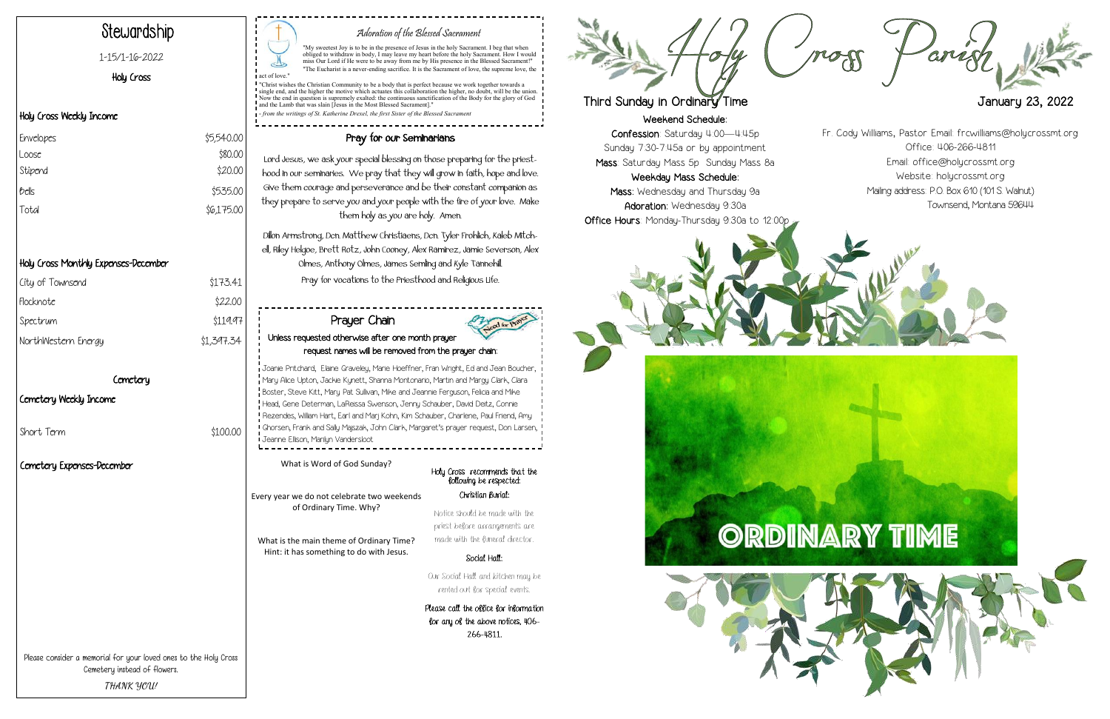Weekend Schedule: Confession: Saturday 4:00—4:45p Sunday 7:30-7:45a or by appointment Mass: Saturday Mass 5p Sunday Mass 8a

Weekday Mass Schedule: Mass: Wednesday and Thursday 9a Adoration: Wednesday 9:30a Office Hours: Monday-Thursday 9:30a to 12:00p







## Adoration of the Blessed Sacrament

"My sweetest Joy is to be in the presence of Jesus in the holy Sacrament. I beg that when<br>obliged to withdraw in body, I may leave my heart before the holy Sacrament. How I would<br>miss Our Lord if He were to be away from me "The Eucharist is a never-ending sacrifice. It is the Sacrament of love, the supreme love, the act of love.

"Christ wishes the Christian Community to be a body that is perfect because we work together towards a<br>single end, and the higher the motive which actuates this collaboration the higher, no doubt, will be the union.<br>Now th and the Lamb that was slain [Jesus in the Most Blessed Sacrament].

*from the writings of St. Katherine Drexel, the first Sister of the Blessed Sacrar* 

# Stewardship

### 1-15/1-16-2022

## Holy Cross

## Holy Cross Weekly Income

## Holy Cross Monthly Expenses-December

| City of Townsend    | \$173.41   |
|---------------------|------------|
| Flocknote           | \$22.00    |
| Spectrum            | \$119.97   |
| NorthWestern Energy | \$1,397.34 |
|                     |            |

#### Cemetery

#### Cemetery Weekly Income

Short Term \$100.00

## Pray for our Seminarians

Lord Jesus, we ask your special blessing on those preparing for the priesthood in our seminaries. We pray that they will grow in faith, hope and love. Give them courage and perseverance and be their constant companion as they prepare to serve you and your people with the fire of your love. Make them holy as you are holy. Amen.

Dillon Armstrong, Dcn. Matthew Christiaens, Dcn. Tyler Frohlich, Kaleb Mitchell, Riley Helgoe, Brett Rotz, John Cooney, Alex Ramirez, Jamie Severson, Alex Olmes, Anthony Olmes, James Semling and Kyle Tannehill. Pray for vocations to the Priesthood and Religious Life.

| Envelopes | \$5,540.00 |
|-----------|------------|
| Loose     | \$80.00    |
| Stipend   | \$20.00    |
| bells     | \$535.00   |
| Total     | \$6,175.00 |
|           |            |

Please consider a memorial for your loved ones to the Holy Cross Cemetery instead of flowers. **THANK YOU!**

Holy Cross recommends that the following be respected: Christian Burial: Notice should be made with the priest before arrangements are

### made with the funeral director. Social Hall:

Our Social Hall and kitchen may be rented out for special events.

Please call the office for information for any of the above notices, 406- 266-4811.



# Third Sunday in Ordinary Time **January 23, 2022**

What is Word of God Sunday?

Every year we do not celebrate two weekends of Ordinary Time. Why?

What is the main theme of Ordinary Time? Hint: it has something to do with Jesus.

#### Prayer Chain Unless requested otherwise after one month prayer request names will be removed from the prayer chain: Joanie Pritchard, Elaine Graveley, Marie Hoeffner, Fran Wright, Ed and Jean Boucher, Mary Alice Upton, Jackie Kynett, Shanna Montonario, Martin and Margy Clark, Clara Boster, Steve Kitt, Mary Pat Sullivan, Mike and Jeannie Ferguson, Felicia and Mike Head, Gene Determan, LaReissa Swenson, Jenny Schauber, David Deitz, Connie Rezendes, William Hart, Earl and Marj Kohn, Kim Schauber, Charlene, Paul Friend, Amy Ghorsen, Frank and Sally Majszak, John Clark, Margaret's prayer request, Don Larsen,

Jeanne Ellison, Marilyn Vandersloot

Fr. Cody Williams, Pastor Email: frcwilliams@holycrossmt.org Office: 406-266-4811 Email: office@holycrossmt.org Website: holycrossmt.org Mailing address: P.O. Box 610 (101 S. Walnut) Townsend, Montana 59644

## Cemetery Expenses-December